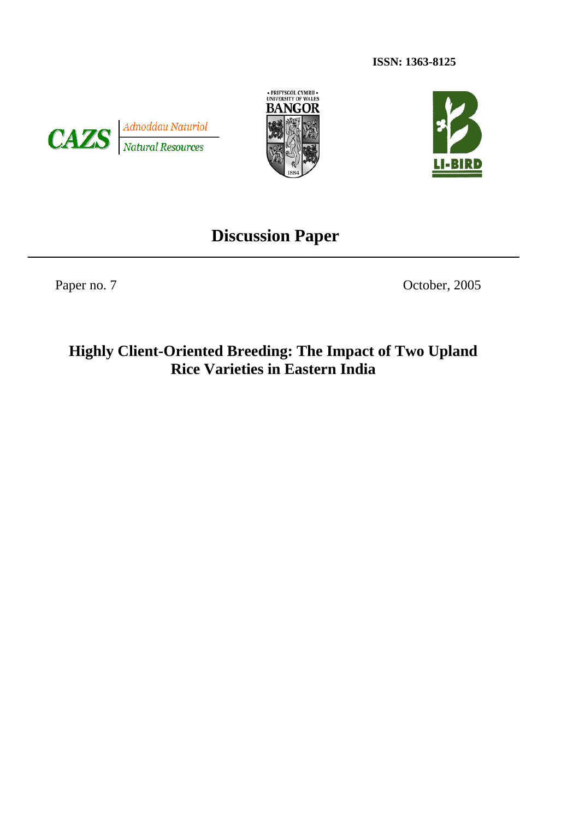





# **Discussion Paper**

Paper no. 7 October, 2005

## **Highly Client-Oriented Breeding: The Impact of Two Upland Rice Varieties in Eastern India**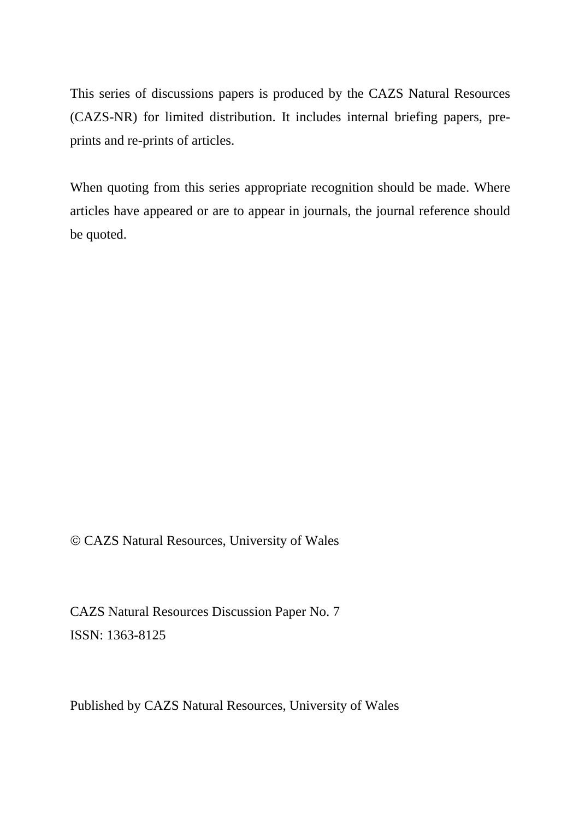This series of discussions papers is produced by the CAZS Natural Resources (CAZS-NR) for limited distribution. It includes internal briefing papers, preprints and re-prints of articles.

When quoting from this series appropriate recognition should be made. Where articles have appeared or are to appear in journals, the journal reference should be quoted.

© CAZS Natural Resources, University of Wales

CAZS Natural Resources Discussion Paper No. 7 ISSN: 1363-8125

Published by CAZS Natural Resources, University of Wales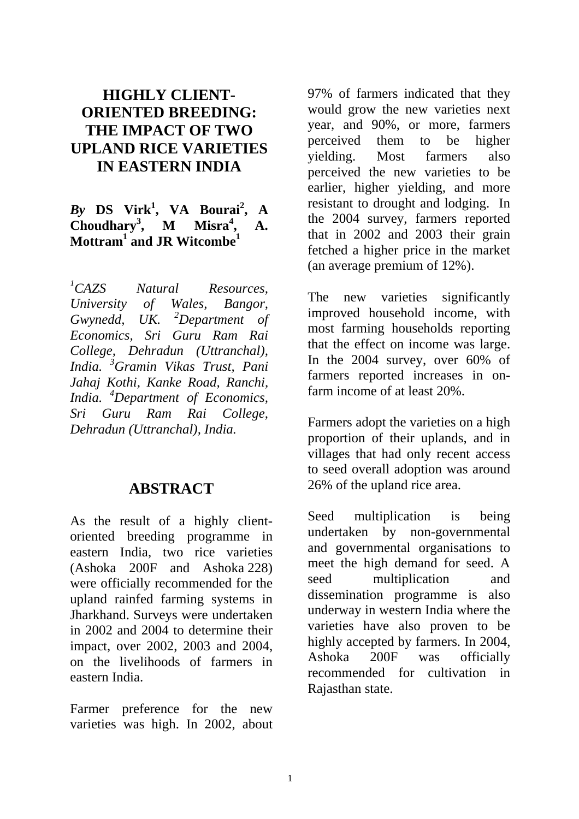### **HIGHLY CLIENT-ORIENTED BREEDING: THE IMPACT OF TWO UPLAND RICE VARIETIES IN EASTERN INDIA**

#### *By* **DS Virk1 , VA Bourai<sup>2</sup> , A Choudhary<sup>3</sup> , M Misra<sup>4</sup>**  $Misra<sup>4</sup>$ , A. **Mottram1 and JR Witcombe<sup>1</sup>**

 $^1$ CAZS *CAZS Natural Resources, University of Wales, Bangor, Gwynedd, UK. Department of Economics, Sri Guru Ram Rai College, Dehradun (Uttranchal), India. <sup>3</sup> Gramin Vikas Trust, Pani Jahaj Kothi, Kanke Road, Ranchi, India. <sup>4</sup> Department of Economics, Sri Guru Ram Rai College, Dehradun (Uttranchal), India.* 

#### **ABSTRACT**

As the result of a highly clientoriented breeding programme in eastern India, two rice varieties (Ashoka 200F and Ashoka 228) were officially recommended for the upland rainfed farming systems in Jharkhand. Surveys were undertaken in 2002 and 2004 to determine their impact, over 2002, 2003 and 2004, on the livelihoods of farmers in eastern India.

Farmer preference for the new varieties was high. In 2002, about 97% of farmers indicated that they would grow the new varieties next year, and 90%, or more, farmers perceived them to be higher yielding. Most farmers also perceived the new varieties to be earlier, higher yielding, and more resistant to drought and lodging. In the 2004 survey, farmers reported that in 2002 and 2003 their grain fetched a higher price in the market (an average premium of 12%).

The new varieties significantly improved household income, with most farming households reporting that the effect on income was large. In the 2004 survey, over 60% of farmers reported increases in onfarm income of at least 20%.

Farmers adopt the varieties on a high proportion of their uplands, and in villages that had only recent access to seed overall adoption was around 26% of the upland rice area.

Seed multiplication is being undertaken by non-governmental and governmental organisations to meet the high demand for seed. A seed multiplication and dissemination programme is also underway in western India where the varieties have also proven to be highly accepted by farmers. In 2004, Ashoka 200F was officially recommended for cultivation in Rajasthan state.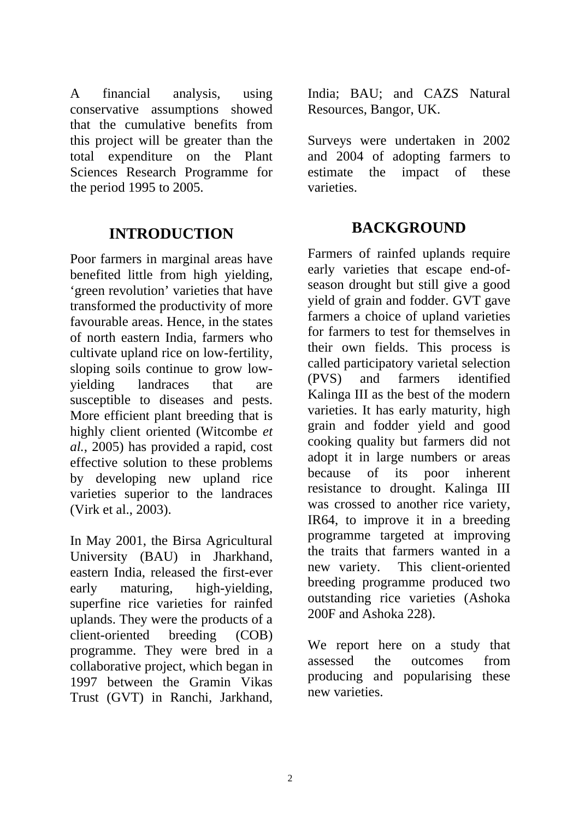A financial analysis, using conservative assumptions showed that the cumulative benefits from this project will be greater than the total expenditure on the Plant Sciences Research Programme for the period 1995 to 2005.

### **INTRODUCTION**

Poor farmers in marginal areas have benefited little from high yielding, 'green revolution' varieties that have transformed the productivity of more favourable areas. Hence, in the states of north eastern India, farmers who cultivate upland rice on low-fertility, sloping soils continue to grow lowyielding landraces that are susceptible to diseases and pests. More efficient plant breeding that is highly client oriented (Witcombe *et al.*, 2005) has provided a rapid, cost effective solution to these problems by developing new upland rice varieties superior to the landraces (Virk et al., 2003).

In May 2001, the Birsa Agricultural University (BAU) in Jharkhand, eastern India, released the first-ever early maturing, high-yielding, superfine rice varieties for rainfed uplands. They were the products of a client-oriented breeding (COB) programme. They were bred in a collaborative project, which began in 1997 between the Gramin Vikas Trust (GVT) in Ranchi, Jarkhand,

India; BAU; and CAZS Natural Resources, Bangor, UK.

Surveys were undertaken in 2002 and 2004 of adopting farmers to estimate the impact of these varieties.

## **BACKGROUND**

Farmers of rainfed uplands require early varieties that escape end-ofseason drought but still give a good yield of grain and fodder. GVT gave farmers a choice of upland varieties for farmers to test for themselves in their own fields. This process is called participatory varietal selection (PVS) and farmers identified Kalinga III as the best of the modern varieties. It has early maturity, high grain and fodder yield and good cooking quality but farmers did not adopt it in large numbers or areas because of its poor inherent resistance to drought. Kalinga III was crossed to another rice variety, IR64, to improve it in a breeding programme targeted at improving the traits that farmers wanted in a new variety. This client-oriented breeding programme produced two outstanding rice varieties (Ashoka 200F and Ashoka 228).

We report here on a study that assessed the outcomes from producing and popularising these new varieties.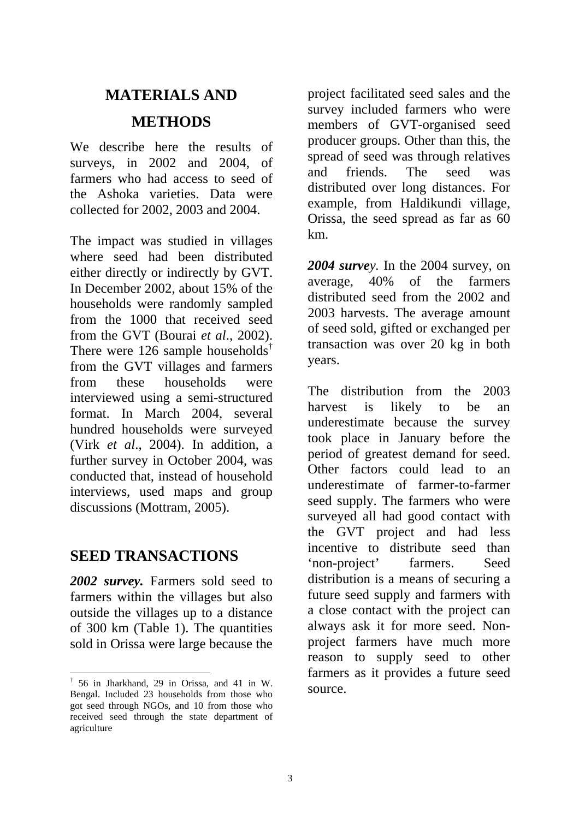### **MATERIALS AND**

### **METHODS**

We describe here the results of surveys, in 2002 and 2004, of farmers who had access to seed of the Ashoka varieties. Data were collected for 2002, 2003 and 2004.

The impact was studied in villages where seed had been distributed either directly or indirectly by GVT. In December 2002, about 15% of the households were randomly sampled from the 1000 that received seed from the GVT (Bourai *et al*., 2002). There were 126 sample households<sup>†</sup> from the GVT villages and farmers from these households were interviewed using a semi-structured format. In March 2004, several hundred households were surveyed (Virk *et al*., 2004). In addition, a further survey in October 2004, was conducted that, instead of household interviews, used maps and group discussions (Mottram, 2005).

### **SEED TRANSACTIONS**

2002 survey. Farmers sold seed to farmers within the villages but also outside the villages up to a distance of 300 km (Table 1). The quantities sold in Orissa were large because the

l

project facilitated seed sales and the survey included farmers who were members of GVT-organised seed producer groups. Other than this, the spread of seed was through relatives and friends. The seed was distributed over long distances. For example, from Haldikundi village, Orissa, the seed spread as far as 60 km.

*2004 survey.* In the 2004 survey, on average, 40% of the farmers distributed seed from the 2002 and 2003 harvests. The average amount of seed sold, gifted or exchanged per transaction was over 20 kg in both years.

The distribution from the 2003 harvest is likely to be an underestimate because the survey took place in January before the period of greatest demand for seed. Other factors could lead to an underestimate of farmer-to-farmer seed supply. The farmers who were surveyed all had good contact with the GVT project and had less incentive to distribute seed than 'non-project' farmers. Seed distribution is a means of securing a future seed supply and farmers with a close contact with the project can always ask it for more seed. Nonproject farmers have much more reason to supply seed to other farmers as it provides a future seed source.

<sup>†</sup> 56 in Jharkhand, 29 in Orissa, and 41 in W. Bengal. Included 23 households from those who got seed through NGOs, and 10 from those who received seed through the state department of agriculture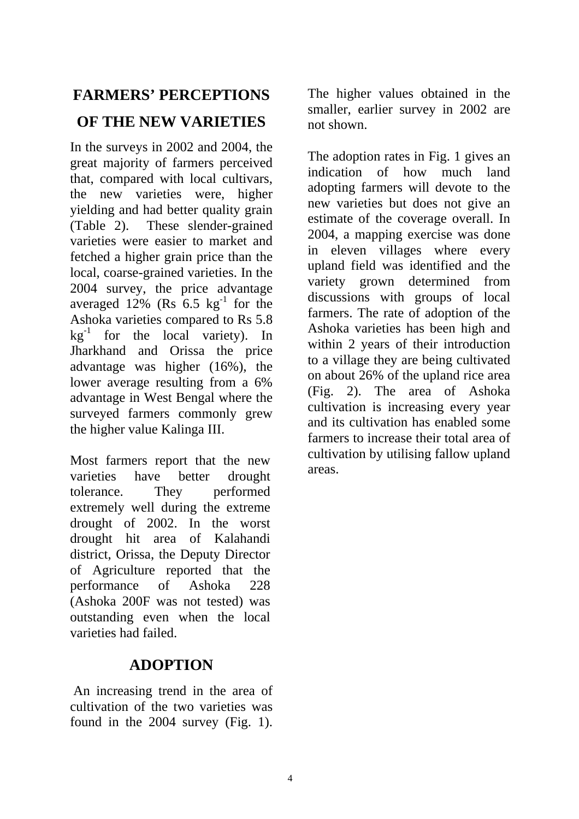## **FARMERS' PERCEPTIONS OF THE NEW VARIETIES**

In the surveys in 2002 and 2004, the great majority of farmers perceived that, compared with local cultivars, the new varieties were, higher yielding and had better quality grain (Table 2). These slender-grained varieties were easier to market and fetched a higher grain price than the local, coarse-grained varieties. In the 2004 survey, the price advantage averaged  $12\%$  (Rs  $6.5 \text{ kg}^{-1}$  for the Ashoka varieties compared to Rs 5.8  $kg^{-1}$  for the local variety). In Jharkhand and Orissa the price advantage was higher (16%), the lower average resulting from a 6% advantage in West Bengal where the surveyed farmers commonly grew the higher value Kalinga III.

Most farmers report that the new varieties have better drought tolerance. They performed extremely well during the extreme drought of 2002. In the worst drought hit area of Kalahandi district, Orissa, the Deputy Director of Agriculture reported that the performance of Ashoka 228 (Ashoka 200F was not tested) was outstanding even when the local varieties had failed.

## **ADOPTION**

An increasing trend in the area of cultivation of the two varieties was found in the 2004 survey (Fig. 1).

The higher values obtained in the smaller, earlier survey in 2002 are not shown.

The adoption rates in Fig. 1 gives an indication of how much land adopting farmers will devote to the new varieties but does not give an estimate of the coverage overall. In 2004, a mapping exercise was done in eleven villages where every upland field was identified and the variety grown determined from discussions with groups of local farmers. The rate of adoption of the Ashoka varieties has been high and within 2 years of their introduction to a village they are being cultivated on about 26% of the upland rice area (Fig. 2). The area of Ashoka cultivation is increasing every year and its cultivation has enabled some farmers to increase their total area of cultivation by utilising fallow upland areas.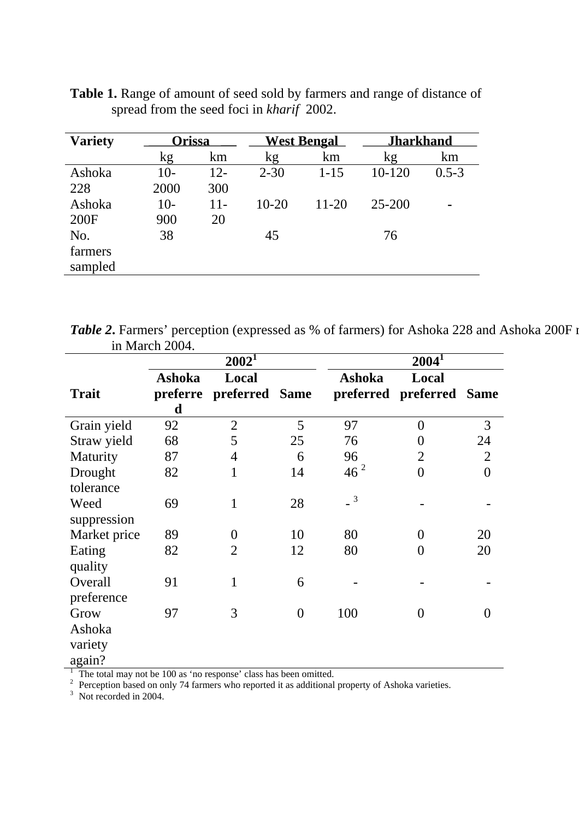| <b>Variety</b> | <b>Orissa</b> |        | <b>West Bengal</b> |           | <b>Jharkhand</b> |           |
|----------------|---------------|--------|--------------------|-----------|------------------|-----------|
|                | kg            | km     | kg                 | km        | kg               | km        |
| Ashoka         | $10-$         | $12 -$ | $2 - 30$           | $1 - 15$  | 10-120           | $0.5 - 3$ |
| 228            | 2000          | 300    |                    |           |                  |           |
| Ashoka         | $10-$         | $11 -$ | $10-20$            | $11 - 20$ | $25 - 200$       | -         |
| 200F           | 900           | 20     |                    |           |                  |           |
| No.            | 38            |        | 45                 |           | 76               |           |
| farmers        |               |        |                    |           |                  |           |
| sampled        |               |        |                    |           |                  |           |
|                |               |        |                    |           |                  |           |

**Table 1.** Range of amount of seed sold by farmers and range of distance of spread from the seed foci in *kharif* 2002.

*Table 2***.** Farmers' perception (expressed as % of farmers) for Ashoka 228 and Ashoka 200F r in March 2004.

|              | $2002^1$ |                         |                | $2004^1$        |                     |                |  |
|--------------|----------|-------------------------|----------------|-----------------|---------------------|----------------|--|
|              | Ashoka   | Local                   |                | Ashoka          | Local               |                |  |
| <b>Trait</b> |          | preferre preferred Same |                |                 | preferred preferred | <b>Same</b>    |  |
|              | d        |                         |                |                 |                     |                |  |
| Grain yield  | 92       | $\overline{2}$          | 5              | 97              | $\theta$            | 3              |  |
| Straw yield  | 68       | 5                       | 25             | 76              | 0                   | 24             |  |
| Maturity     | 87       | $\overline{4}$          | 6              | 96              | $\overline{2}$      | $\overline{2}$ |  |
| Drought      | 82       | $\mathbf{1}$            | 14             | 46 <sup>2</sup> | $\overline{0}$      | $\overline{0}$ |  |
| tolerance    |          |                         |                |                 |                     |                |  |
| Weed         | 69       | 1                       | 28             | $-3$            |                     |                |  |
| suppression  |          |                         |                |                 |                     |                |  |
| Market price | 89       | $\overline{0}$          | 10             | 80              | $\overline{0}$      | 20             |  |
| Eating       | 82       | $\overline{2}$          | 12             | 80              | $\overline{0}$      | 20             |  |
| quality      |          |                         |                |                 |                     |                |  |
| Overall      | 91       | 1                       | 6              |                 |                     |                |  |
| preference   |          |                         |                |                 |                     |                |  |
| Grow         | 97       | 3                       | $\overline{0}$ | 100             | $\overline{0}$      | 0              |  |
| Ashoka       |          |                         |                |                 |                     |                |  |
| variety      |          |                         |                |                 |                     |                |  |
| again?       |          |                         |                |                 |                     |                |  |

<sup>1</sup> The total may not be 100 as 'no response' class has been omitted.<br><sup>2</sup> Perception based on only 74 farmers who reported it as additional property of Ashoka varieties.<br><sup>3</sup> Not recorded in 2004.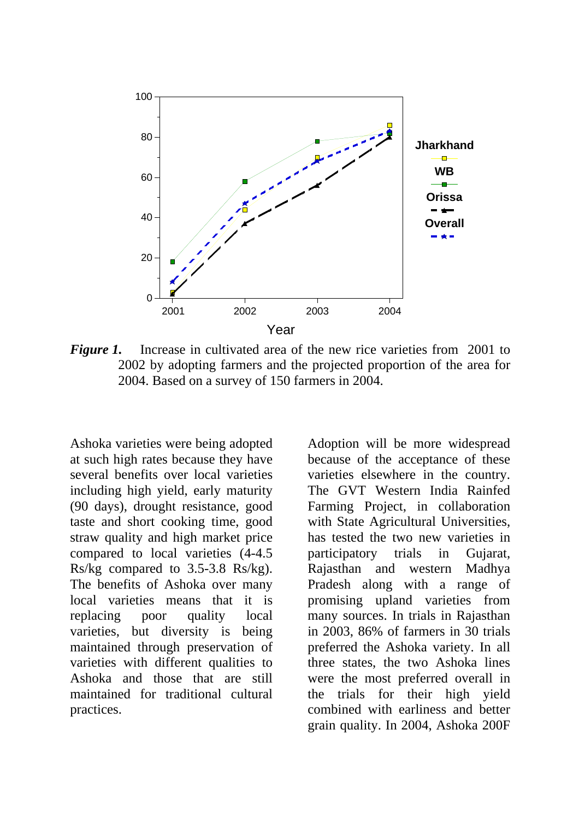

*Figure 1.* Increase in cultivated area of the new rice varieties from 2001 to 2002 by adopting farmers and the projected proportion of the area for 2004. Based on a survey of 150 farmers in 2004.

Ashoka varieties were being adopted at such high rates because they have several benefits over local varieties including high yield, early maturity (90 days), drought resistance, good taste and short cooking time, good straw quality and high market price compared to local varieties (4-4.5 Rs/kg compared to 3.5-3.8 Rs/kg). The benefits of Ashoka over many local varieties means that it is replacing poor quality local varieties, but diversity is being maintained through preservation of varieties with different qualities to Ashoka and those that are still maintained for traditional cultural practices.

Adoption will be more widespread because of the acceptance of these varieties elsewhere in the country. The GVT Western India Rainfed Farming Project, in collaboration with State Agricultural Universities, has tested the two new varieties in participatory trials in Gujarat, Rajasthan and western Madhya Pradesh along with a range of promising upland varieties from many sources. In trials in Rajasthan in 2003, 86% of farmers in 30 trials preferred the Ashoka variety. In all three states, the two Ashoka lines were the most preferred overall in the trials for their high yield combined with earliness and better grain quality. In 2004, Ashoka 200F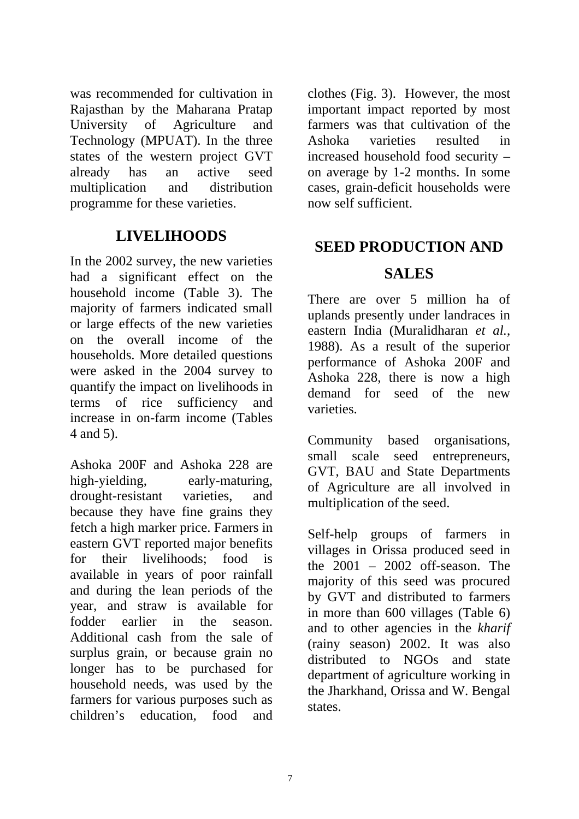was recommended for cultivation in Rajasthan by the Maharana Pratap University of Agriculture and Technology (MPUAT). In the three states of the western project GVT already has an active seed multiplication and distribution programme for these varieties.

## **LIVELIHOODS**

In the 2002 survey, the new varieties had a significant effect on the household income (Table 3). The majority of farmers indicated small or large effects of the new varieties on the overall income of the households. More detailed questions were asked in the 2004 survey to quantify the impact on livelihoods in terms of rice sufficiency and increase in on-farm income (Tables 4 and 5).

Ashoka 200F and Ashoka 228 are high-yielding, early-maturing, drought-resistant varieties, and because they have fine grains they fetch a high marker price. Farmers in eastern GVT reported major benefits for their livelihoods; food is available in years of poor rainfall and during the lean periods of the year, and straw is available for fodder earlier in the season. Additional cash from the sale of surplus grain, or because grain no longer has to be purchased for household needs, was used by the farmers for various purposes such as children's education, food and

clothes (Fig. 3). However, the most important impact reported by most farmers was that cultivation of the Ashoka varieties resulted in increased household food security – on average by 1-2 months. In some cases, grain-deficit households were now self sufficient.

# **SEED PRODUCTION AND SALES**

There are over 5 million ha of uplands presently under landraces in eastern India (Muralidharan *et al.*, 1988). As a result of the superior performance of Ashoka 200F and Ashoka 228, there is now a high demand for seed of the new varieties.

Community based organisations, small scale seed entrepreneurs, GVT, BAU and State Departments of Agriculture are all involved in multiplication of the seed.

Self-help groups of farmers in villages in Orissa produced seed in the  $2001 - 2002$  off-season. The majority of this seed was procured by GVT and distributed to farmers in more than 600 villages (Table 6) and to other agencies in the *kharif* (rainy season) 2002. It was also distributed to NGOs and state department of agriculture working in the Jharkhand, Orissa and W. Bengal states.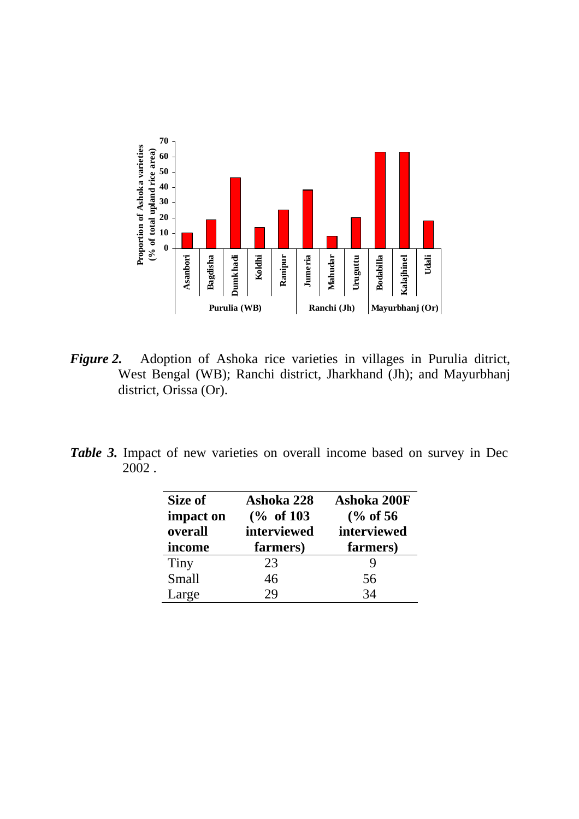

- *Figure 2.* Adoption of Ashoka rice varieties in villages in Purulia ditrict, West Bengal (WB); Ranchi district, Jharkhand (Jh); and Mayurbhanj district, Orissa (Or).
- *Table 3.* Impact of new varieties on overall income based on survey in Dec 2002 .

| Size of   | Ashoka 228   | Ashoka 200F         |  |  |
|-----------|--------------|---------------------|--|--|
| impact on | $(\%$ of 103 | $\frac{6}{6}$ of 56 |  |  |
| overall   | interviewed  | interviewed         |  |  |
| income    | farmers)     | farmers)            |  |  |
| Tiny      | 23           |                     |  |  |
| Small     | 46           | 56                  |  |  |
| Large     | 29           | 34                  |  |  |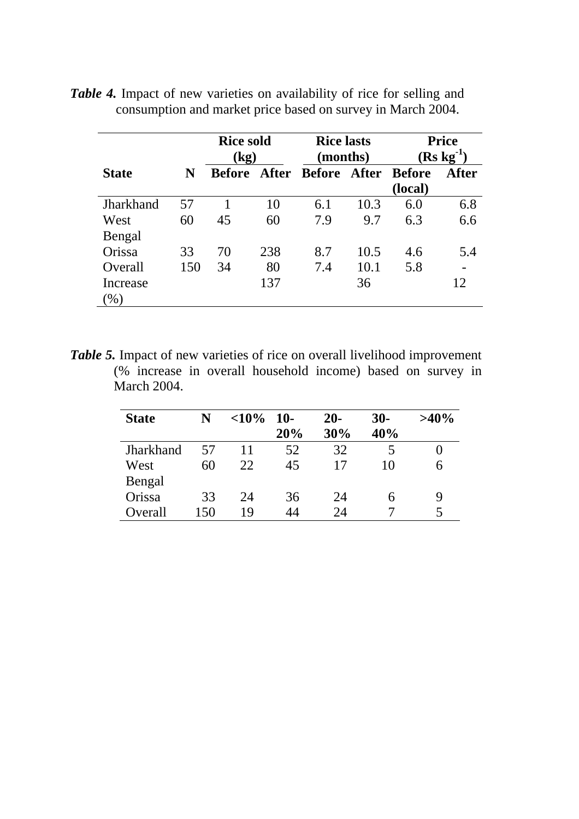|              |     | <b>Rice sold</b><br>$\left( \mathrm{kg}\right)$ |       | <b>Rice lasts</b><br>(months) |      | <b>Price</b><br>$(Rs kg-1)$ |              |
|--------------|-----|-------------------------------------------------|-------|-------------------------------|------|-----------------------------|--------------|
| <b>State</b> | N   | <b>Before</b>                                   | After | <b>Before After Before</b>    |      |                             | <b>After</b> |
|              |     |                                                 |       |                               |      | (local)                     |              |
| Jharkhand    | 57  |                                                 | 10    | 6.1                           | 10.3 | 6.0                         | 6.8          |
| West         | 60  | 45                                              | 60    | 7.9                           | 9.7  | 6.3                         | 6.6          |
| Bengal       |     |                                                 |       |                               |      |                             |              |
| Orissa       | 33  | 70                                              | 238   | 8.7                           | 10.5 | 4.6                         | 5.4          |
| Overall      | 150 | 34                                              | 80    | 7.4                           | 10.1 | 5.8                         |              |
| Increase     |     |                                                 | 137   |                               | 36   |                             | 12           |
| $\%$ )       |     |                                                 |       |                               |      |                             |              |

Table 4. Impact of new varieties on availability of rice for selling and consumption and market price based on survey in March 2004.

*Table 5.* Impact of new varieties of rice on overall livelihood improvement (% increase in overall household income) based on survey in March 2004.

| <b>State</b>     | N   | ${<}10\%$ | $10-$ | $20-$ | $30-$ | $>40\%$ |
|------------------|-----|-----------|-------|-------|-------|---------|
|                  |     |           | 20%   | 30%   | 40%   |         |
| <b>Jharkhand</b> | 57  | 11        | 52    | 32    |       | U       |
| West             | 60  | 22        | 45    | 17    | 10    | 6       |
| Bengal           |     |           |       |       |       |         |
| Orissa           | 33  | 24        | 36    | 24    | 6     | 9       |
| Overall          | 150 | 19        | 44    | 24    |       | 5       |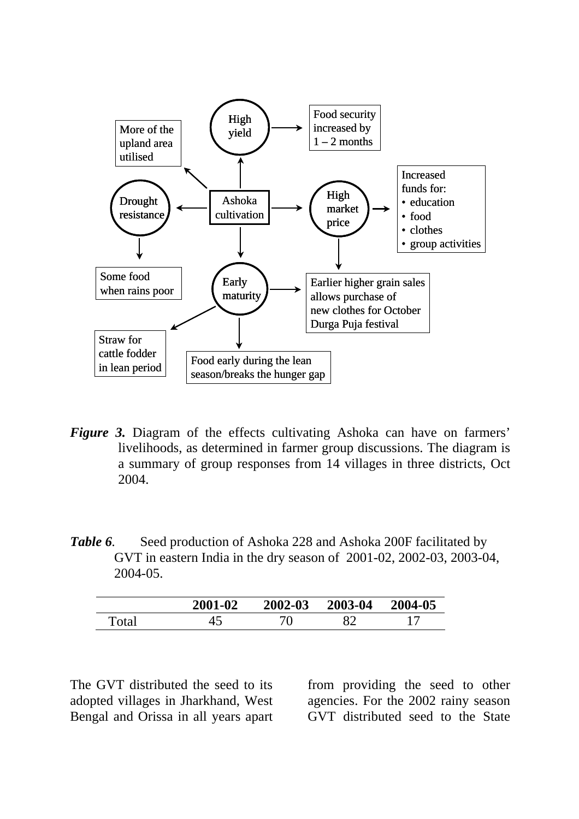

- *Figure 3.* Diagram of the effects cultivating Ashoka can have on farmers' livelihoods, as determined in farmer group discussions. The diagram is a summary of group responses from 14 villages in three districts, Oct 2004.
- **Table 6.** Seed production of Ashoka 228 and Ashoka 200F facilitated by GVT in eastern India in the dry season of 2001-02, 2002-03, 2003-04, 2004-05.

|       | 2001-02 | 2002-03 | 2003-04 | 2004-05 |
|-------|---------|---------|---------|---------|
| Total |         |         |         |         |

The GVT distributed the seed to its adopted villages in Jharkhand, West Bengal and Orissa in all years apart from providing the seed to other agencies. For the 2002 rainy season GVT distributed seed to the State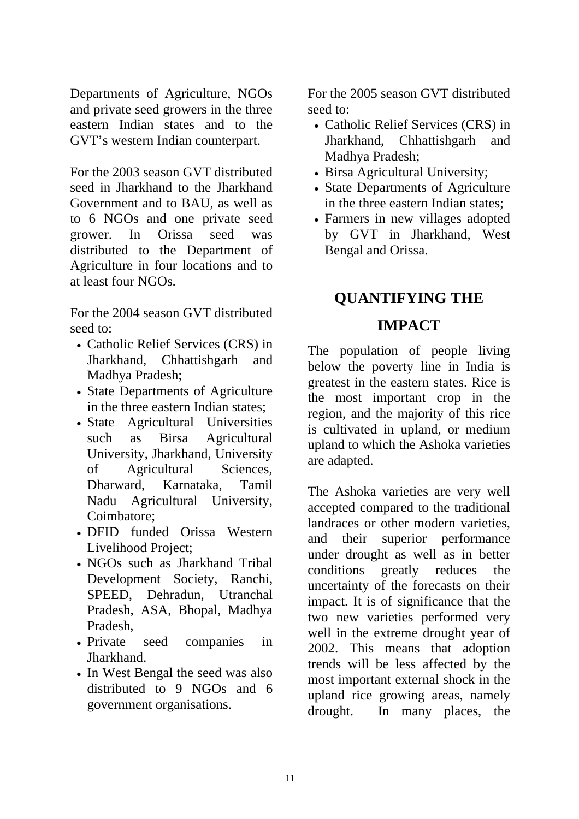Departments of Agriculture, NGOs and private seed growers in the three eastern Indian states and to the GVT's western Indian counterpart.

For the 2003 season GVT distributed seed in Jharkhand to the Jharkhand Government and to BAU, as well as to 6 NGOs and one private seed grower. In Orissa seed was distributed to the Department of Agriculture in four locations and to at least four NGOs.

For the 2004 season GVT distributed seed to:

- Catholic Relief Services (CRS) in Jharkhand, Chhattishgarh and Madhya Pradesh;
- State Departments of Agriculture in the three eastern Indian states;
- State Agricultural Universities such as Birsa Agricultural University, Jharkhand, University of Agricultural Sciences, Dharward, Karnataka, Tamil Nadu Agricultural University, Coimbatore;
- DFID funded Orissa Western Livelihood Project;
- NGOs such as Jharkhand Tribal Development Society, Ranchi, SPEED, Dehradun, Utranchal Pradesh, ASA, Bhopal, Madhya **Pradesh**
- Private seed companies in **Jharkhand**
- In West Bengal the seed was also distributed to 9 NGOs and 6 government organisations.

For the 2005 season GVT distributed seed to:

- Catholic Relief Services (CRS) in Jharkhand, Chhattishgarh and Madhya Pradesh;
- Birsa Agricultural University;
- State Departments of Agriculture in the three eastern Indian states;
- Farmers in new villages adopted by GVT in Jharkhand, West Bengal and Orissa.

## **QUANTIFYING THE**

## **IMPACT**

The population of people living below the poverty line in India is greatest in the eastern states. Rice is the most important crop in the region, and the majority of this rice is cultivated in upland, or medium upland to which the Ashoka varieties are adapted.

The Ashoka varieties are very well accepted compared to the traditional landraces or other modern varieties, and their superior performance under drought as well as in better conditions greatly reduces the uncertainty of the forecasts on their impact. It is of significance that the two new varieties performed very well in the extreme drought year of 2002. This means that adoption trends will be less affected by the most important external shock in the upland rice growing areas, namely drought. In many places, the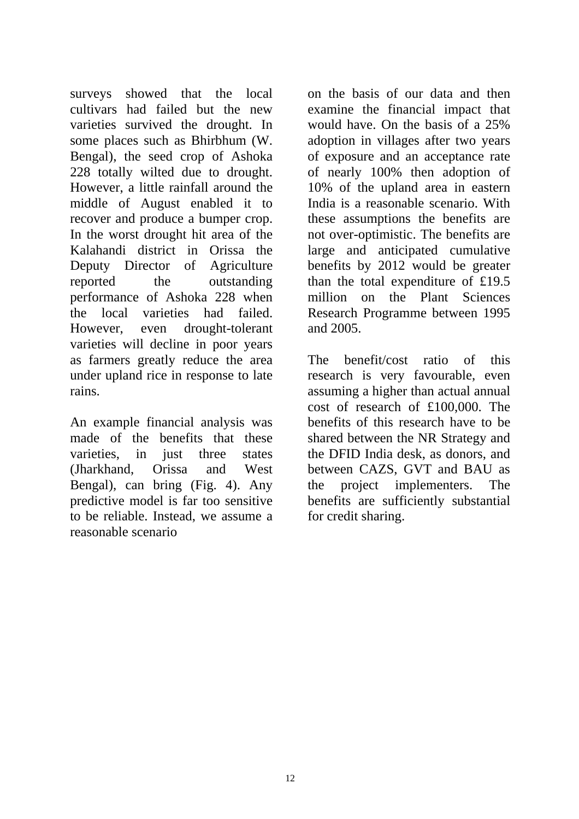surveys showed that the local cultivars had failed but the new varieties survived the drought. In some places such as Bhirbhum (W. Bengal), the seed crop of Ashoka 228 totally wilted due to drought. However, a little rainfall around the middle of August enabled it to recover and produce a bumper crop. In the worst drought hit area of the Kalahandi district in Orissa the Deputy Director of Agriculture reported the outstanding performance of Ashoka 228 when the local varieties had failed. However, even drought-tolerant varieties will decline in poor years as farmers greatly reduce the area under upland rice in response to late rains.

An example financial analysis was made of the benefits that these varieties, in just three states (Jharkhand, Orissa and West Bengal), can bring (Fig. 4). Any predictive model is far too sensitive to be reliable. Instead, we assume a reasonable scenario

on the basis of our data and then examine the financial impact that would have. On the basis of a 25% adoption in villages after two years of exposure and an acceptance rate of nearly 100% then adoption of 10% of the upland area in eastern India is a reasonable scenario. With these assumptions the benefits are not over-optimistic. The benefits are large and anticipated cumulative benefits by 2012 would be greater than the total expenditure of £19.5 million on the Plant Sciences Research Programme between 1995 and 2005.

The benefit/cost ratio of this research is very favourable, even assuming a higher than actual annual cost of research of £100,000. The benefits of this research have to be shared between the NR Strategy and the DFID India desk, as donors, and between CAZS, GVT and BAU as the project implementers. The benefits are sufficiently substantial for credit sharing.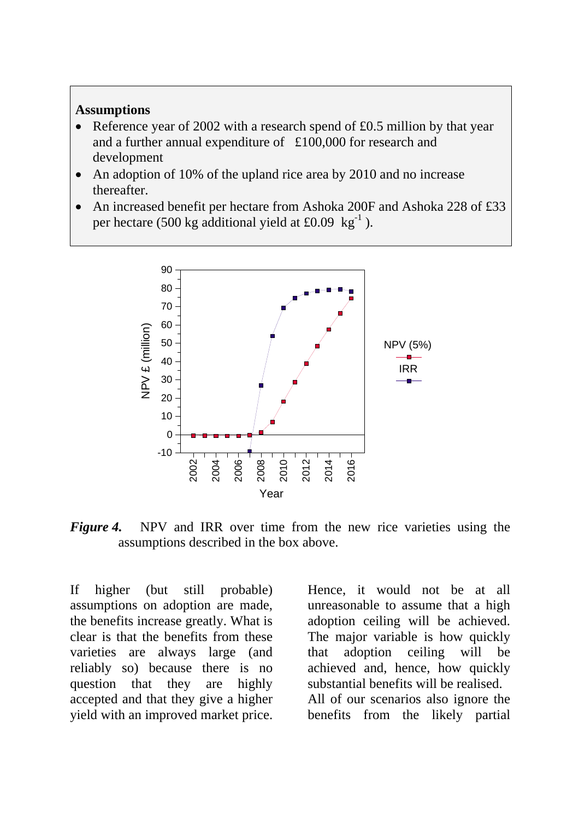#### **Assumptions**

- Reference year of 2002 with a research spend of £0.5 million by that year and a further annual expenditure of £100,000 for research and development
- An adoption of 10% of the upland rice area by 2010 and no increase thereafter.
- An increased benefit per hectare from Ashoka 200F and Ashoka 228 of £33 per hectare (500 kg additional yield at £0.09  $kg^{-1}$ ).



*Figure 4.* NPV and IRR over time from the new rice varieties using the assumptions described in the box above.

If higher (but still probable) assumptions on adoption are made, the benefits increase greatly. What is clear is that the benefits from these varieties are always large (and reliably so) because there is no question that they are highly accepted and that they give a higher yield with an improved market price.

Hence, it would not be at all unreasonable to assume that a high adoption ceiling will be achieved. The major variable is how quickly that adoption ceiling will be achieved and, hence, how quickly substantial benefits will be realised. All of our scenarios also ignore the benefits from the likely partial